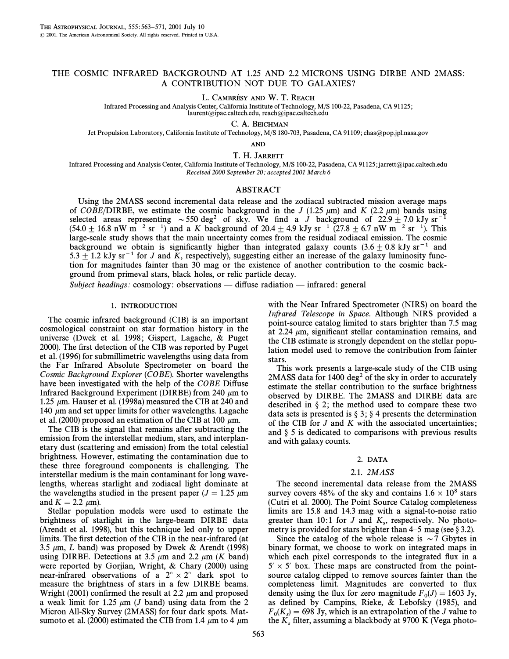# THE COSMIC INFRARED BACKGROUND AT 1.25 AND 2.2 MICRONS USING DIRBE AND 2MASS : A CONTRIBUTION NOT DUE TO GALAXIES ?

L. CAMBRESY AND W. T. REACH

Infrared Processing and Analysis Center, California Institute of Technology, M/S 100-22, Pasadena, CA 91125 ; laurent@ipac.caltech.edu, reach@ipac.caltech.edu

C. A. BEICHMAN

Jet Propulsion Laboratory, California Institute of Technology, M/S 180-703, Pasadena, CA 91109; chas@pop.jpl.nasa.gov

AND

T. H. JARRETT

Infrared Processing and Analysis Center, California Institute of Technology, M/S 100-22, Pasadena, CA 91125; jarrett@ipac.caltech.edu Received 2000 September 20; accepted 2001 March 6

### ABSTRACT

Using the 2MASS second incremental data release and the zodiacal subtracted mission average maps of COBE/DIRBE, we estimate the cosmic background in the J (1.25  $\mu$ m) and K (2.2  $\mu$ m) bands using selected areas representing  $\sim$  550 deg<sup>2</sup> of sky. We find a J background of 22.9  $\pm$  7.0 kJy sr<sup>-1</sup>  $(54.0 \pm 16.8 \text{ nW m}^{-2} \text{ sr}^{-1})$  and a K background of 20.4  $\pm$  4.9 kJy sr<sup>-1</sup> (27.8  $\pm$  6.7 nW m<sup>-2</sup> sr<sup>-1</sup>). This large-scale study shows that the main uncertainty comes from the residual zodiacal emission. The cosmic background we obtain is significantly higher than integrated galaxy counts  $(3.6 \pm 0.8 \text{ kJy sr}^{-1}$  and 5.3  $\pm$  1.2 kJy sr<sup>-1</sup> for J and K, respectively), suggesting either an increase of the galaxy luminosity function for magnitudes fainter than 30 mag or the existence of another contribution to the cosmic background from primeval stars, black holes, or relic particle decay.

Subject headings: cosmology: observations — diffuse radiation — infrared: general

## 1. INTRODUCTION

The cosmic infrared background (CIB) is an important cosmological constraint on star formation history in the universe (Dwek et al. 1998; Gispert, Lagache, & Puget 2000). The first detection of the CIB was reported by Puget et al. (1996) for submillimetric wavelengths using data from the Far Infrared Absolute Spectrometer on board the Cosmic Background Explorer (COBE). Shorter wavelengths have been investigated with the help of the COBE Diffuse Infrared Background Experiment (DIRBE) from 240  $\mu$ m to 1.25  $\mu$ m. Hauser et al. (1998a) measured the CIB at 240 and 140  $\mu$ m and set upper limits for other wavelengths. Lagache et al. (2000) proposed an estimation of the CIB at 100  $\mu$ m.

The CIB is the signal that remains after subtracting the emission from the interstellar medium, stars, and interplanetary dust (scattering and emission) from the total celestial brightness. However, estimating the contamination due to these three foreground components is challenging. The interstellar medium is the main contaminant for long wavelengths, whereas starlight and zodiacal light dominate at the wavelengths studied in the present paper ( $J = 1.25 \mu m$ ) and  $K = 2.2 \mu m$ ).

Stellar population models were used to estimate the brightness of starlight in the large-beam DIRBE data (Arendt et al. 1998), but this technique led only to upper limits. The first detection of the CIB in the near-infrared (at 3.5  $\mu$ m, *L* band) was proposed by Dwek & Arendt (1998) using DIRBE. Detections at 3.5  $\mu$ m and 2.2  $\mu$ m (K band) were reported by Gorjian, Wright, & Chary (2000) using near-infrared observations of a  $2^{\circ} \times 2^{\circ}$  dark spot to measure the brightness of stars in a few DIRBE beams. Wright (2001) confirmed the result at 2.2  $\mu$ m and proposed a weak limit for 1.25  $\mu$ m (*J* band) using data from the 2 Micron All-Sky Survey (2MASS) for four dark spots. Matsumoto et al. (2000) estimated the CIB from 1.4  $\mu$ m to 4  $\mu$ m with the Near Infrared Spectrometer (NIRS) on board the Infrared Telescope in Space. Although NIRS provided a point-source catalog limited to stars brighter than 7.5 mag at 2.24  $\mu$ m, significant stellar contamination remains, and the CIB estimate is strongly dependent on the stellar population model used to remove the contribution from fainter stars.

This work presents a large-scale study of the CIB using 2MASS data for  $1400 \text{ deg}^2$  of the sky in order to accurately estimate the stellar contribution to the surface brightness observed by DIRBE. The 2MASS and DIRBE data are described in  $\S 2$ ; the method used to compare these two data sets is presented is  $\S 3$ ;  $\S 4$  presents the determination of the CIB for  $J$  and  $K$  with the associated uncertainties; and  $\S$  5 is dedicated to comparisons with previous results and with galaxy counts.

## 2. DATA

### 2.1. 2MASS

The second incremental data release from the 2MASS survey covers 48% of the sky and contains  $1.6 \times 10^8$  stars (Cutri et al. 2000). The Point Source Catalog completeness limits are 15.8 and 14.3 mag with a signal-to-noise ratio greater than 10:1 for J and  $K_s$ , respectively. No photo-<br>metry is provided for stars brighter than 4.5 mag (see 8.3.2). metry is provided for stars brighter than  $4–5$  mag (see § 3.2).

Since the catalog of the whole release is  $\sim$  7 Gbytes in binary format, we choose to work on integrated maps in which each pixel corresponds to the integrated flux in a  $5' \times 5'$  box. These maps are constructed from the pointsource catalog clipped to remove sources fainter than the completeness limit. Magnitudes are converted to flux density using the flux for zero magnitude  $F_0(J) = 1603$  Jy,<br>as defined by Campins, Biske, & Lebofsky (1985), and as defined by Campins, Rieke,  $&$  Lebofsky (1985), and  $F_0(K_s) = 698 \text{ Jy}$ , which is an extrapolation of the J value to the  $K_s$  filter assuming a blackbody at 9700 K (Vega photothe  $K_s$  filter, assuming a blackbody at 9700 K (Vega photo-<br>563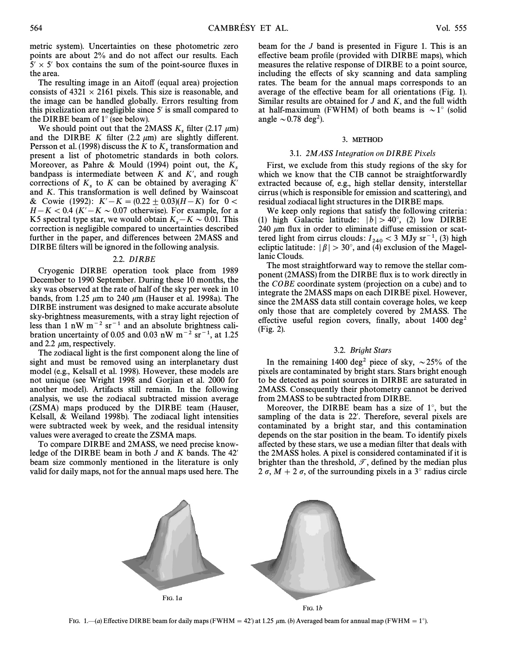metric system). Uncertainties on these photometric zero points are about 2% and do not affect our results. Each  $5' \times 5'$  box contains the sum of the point-source fluxes in the area.

The resulting image in an Aitoff (equal area) projection consists of  $4321 \times 2161$  pixels. This size is reasonable, and the image can be handled globally. Errors resulting from this pixelization are negligible since  $5'$  is small compared to the DIRBE beam of  $1^\circ$  (see below).

We should point out that the 2MASS  $K_s$  filter (2.17  $\mu$ m) and the DIRBE K filter (2.2  $\mu$ m) are slightly different. Persson et al. (1998) discuss the K to  $K_s$  transformation and present a list of photometric standards in both colors. Moreover, as Pahre & Mould (1994) point out, the  $K_s$  bandpass is intermediate between K and K', and rough corrections of  $K<sub>s</sub>$  to K can be obtained by averaging K' and K. This transformation is well defined by Wainscoat & Cowie (1992):  $K' - K = (0.22 \pm 0.03)(H-K)$  for  $0 <$  $H-K < 0.4$  (K' $-K \sim 0.07$  otherwise). For example, for a K5 spectral type star, we would obtain  $K_s - K \sim 0.01$ . This correction is negligible compared to uncertainties described correction is negligible compared to uncertainties described further in the paper, and differences between 2MASS and DIRBE filters will be ignored in the following analysis.

## 2.2. DIRBE

Cryogenic DIRBE operation took place from 1989 December to 1990 September. During these 10 months, the sky was observed at the rate of half of the sky per week in 10 bands, from 1.25  $\mu$ m to 240  $\mu$ m (Hauser et al. 1998a). The DIRBE instrument was designed to make accurate absolute sky-brightness measurements, with a stray light rejection of less than 1 nW  $m^{-2}$  sr<sup>-1</sup> and an absolute brightness calibration uncertainty of 0.05 and 0.03 nW m<sup>-2</sup> sr<sup>-1</sup>, at 1.25 and 2.2  $\mu$ m, respectively.

The zodiacal light is the first component along the line of sight and must be removed using an interplanetary dust model (e.g., Kelsall et al. 1998). However, these models are not unique (see Wright 1998 and Gorjian et al. 2000 for another model). Artifacts still remain. In the following analysis, we use the zodiacal subtracted mission average (ZSMA) maps produced by the DIRBE team (Hauser, Kelsall, & Weiland 1998b). The zodiacal light intensities were subtracted week by week, and the residual intensity values were averaged to create the ZSMA maps.

To compare DIRBE and 2MASS, we need precise knowledge of the DIRBE beam in both  $J$  and  $K$  bands. The 42' beam size commonly mentioned in the literature is only valid for daily maps, not for the annual maps used here. The

beam for the J band is presented in Figure 1. This is an effective beam profile (provided with DIRBE maps), which measures the relative response of DIRBE to a point source, including the effects of sky scanning and data sampling rates. The beam for the annual maps corresponds to an average of the effective beam for all orientations (Fig. 1). Similar results are obtained for  $J$  and  $K$ , and the full width at half-maximum (FWHM) of both beams is  $\sim 1^\circ$  (solid angle  $\sim$  0.78 deg<sup>2</sup>).

## 3. METHOD

# 3.1. 2MASS Integration on DIRBE Pixels

First, we exclude from this study regions of the sky for which we know that the CIB cannot be straightforwardly extracted because of, e.g., high stellar density, interstellar cirrus (which is responsible for emission and scattering), and residual zodiacal light structures in the DIRBE maps.

We keep only regions that satisfy the following criteria : (1) high Galactic latitude:  $|b| > 40^{\circ}$ , (2) low DIRBE 240  $\mu$ m flux in order to eliminate diffuse emission or scattered light from cirrus clouds:  $I_{240} < 3$  MJy sr<sup>-1</sup>, (3) high<br>eclinic latitude:  $|R| \ge 30^\circ$  and (4) exclusion of the Magelecliptic latitude:  $|\beta| > 30^{\circ}$ , and (4) exclusion of the Magellanic Clouds.

The most straightforward way to remove the stellar component (2MASS) from the DIRBE flux is to work directly in the COBE coordinate system (projection on a cube) and to integrate the 2MASS maps on each DIRBE pixel. However, since the 2MASS data still contain coverage holes, we keep only those that are completely covered by 2MASS. The effective useful region covers, finally, about  $1400 \text{ deg}^2$ (Fig. 2).

### 3.2. Bright Stars

In the remaining 1400 deg<sup>2</sup> piece of sky,  $\sim$  25% of the pixels are contaminated by bright stars. Stars bright enough to be detected as point sources in DIRBE are saturated in 2MASS. Consequently their photometry cannot be derived from 2MASS to be subtracted from DIRBE.

Moreover, the DIRBE beam has a size of  $1^\circ$ , but the sampling of the data is 22'. Therefore, several pixels are contaminated by a bright star, and this contamination depends on the star position in the beam. To identify pixels affected by these stars, we use a median filter that deals with the 2MASS holes. A pixel is considered contaminated if it is brighter than the threshold,  $\mathcal{T}$ , defined by the median plus 2  $\sigma$ ,  $M + 2 \sigma$ , of the surrounding pixels in a 3° radius circle



FIG. 1.—(a) Effective DIRBE beam for daily maps (FWHM = 42) at 1.25  $\mu$ m. (b) Averaged beam for annual map (FWHM = 1°).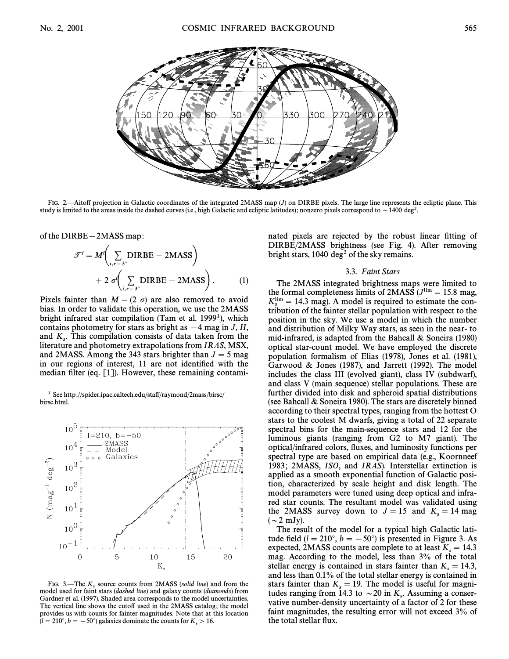

FIG. 2.—Aitoff projection in Galactic coordinates of the integrated 2MASS map (J) on DIRBE pixels. The large line represents the ecliptic plane. This study is limited to the areas inside the dashed curves (i.e., high Galactic and ecliptic latitudes); nonzero pixels correspond to  $\sim$  1400 deg<sup>2</sup>.

of the DIRBE – 2MASS map:  
\n
$$
\mathcal{F}^{i} = M^{i} \bigg( \sum_{i, r=3^{s}} \text{DIRBE} - 2 \text{MASS} \bigg) + 2 \sigma^{i} \bigg( \sum_{i, r=3^{s}} \text{DIRBE} - 2 \text{MASS} \bigg).
$$
 (1)

Pixels fainter than  $M - (2 \sigma)$  are also removed to avoid bias. In order to validate this operation, we use the 2MASS bright infrared star compilation (Tam et al.  $1999<sup>1</sup>$ ), which contains photometry for stars as bright as  $-4$  mag in J, H, and  $K_s$ . This compilation consists of data taken from the Hiterature and photometry extrapolations from LR 4S, MSX. literature and photometry extrapolations from IRAS, MSX, and 2MASS. Among the 343 stars brighter than  $J = 5$  mag in our regions of interest, 11 are not identified with the median filter (eq.  $[1]$ ). However, these remaining contami-

<sup>1</sup> See http://spider.ipac.caltech.edu/staff/raymond/2mass/birsc/ birsc.html.



FIG. 3.—The  $K_s$  source counts from 2MASS (*solid line*) and from the model used for faint stars (*dashed line*) and galaxy counts (*diamonds*) from Gardner et al. (1997). Shaded area corresponds to the model uncertainties. The vertical line shows the cutoff used in the 2MASS catalog; the model provides us with counts for fainter magnitudes. Note that at this location  $(l = 210^\circ, b = -50^\circ)$  galaxies dominate the counts for  $K_s > 16$ .

nated pixels are rejected by the robust linear fitting of DIRBE/2MASS brightness (see Fig. 4). After removing bright stars,  $1040 \text{ deg}^2$  of the sky remains.

### 3.3. Faint Stars

The 2MASS integrated brightness maps were limited to the formal completeness limits of 2MASS  $(J<sup>lim</sup> = 15.8$  mag,  $K_s^{\text{lim}} = 14.3$  mag). A model is required to estimate the con-<br>tribution of the fainter stellar population with respect to the tribution of the fainter stellar population with respect to the position in the sky. We use a model in which the number and distribution of Milky Way stars, as seen in the near- to mid-infrared, is adapted from the Bahcall & Soneira (1980) optical star-count model. We have employed the discrete population formalism of Elias (1978), Jones et al. (1981), Garwood & Jones (1987), and Jarrett (1992). The model includes the class III (evolved giant), class IV (subdwarf), and class V (main sequence) stellar populations. These are further divided into disk and spheroid spatial distributions (see Bahcall & Soneira 1980). The stars are discretely binned according to their spectral types, ranging from the hottest O stars to the coolest M dwarfs, giving a total of 22 separate spectral bins for the main-sequence stars and 12 for the luminous giants (ranging from G2 to M7 giant). The optical/infrared colors, Ñuxes, and luminosity functions per spectral type are based on empirical data (e.g., Koornneef 1983; 2MASS, ISO, and IRAS). Interstellar extinction is applied as a smooth exponential function of Galactic position, characterized by scale height and disk length. The model parameters were tuned using deep optical and infrared star counts. The resultant model was validated using the 2MASS survey down to  $J = 15$  and  $K_s = 14$  mag  $({\sim}2 \text{ mJy}).$ 

The result of the model for a typical high Galactic latitude field ( $l = 210°$ ,  $b = -50°$ ) is presented in Figure 3. As expected, 2MASS counts are complete to at least  $K_s = 14.3$ <br>mag. According to the model, less than 3% of the total mag. According to the model, less than 3% of the total stellar energy is contained in stars fainter than  $K_s = 14.3$ ,<br>and less than 0.1% of the total stellar energy is contained in and less than 0.1% of the total stellar energy is contained in stars fainter than  $K_s = 19$ . The model is useful for magnitudes ranging from 14.3 to  $\approx 20 \text{ in } K$ . Assuming a consertudes ranging from 14.3 to  $\sim$  20 in  $K_s$ . Assuming a conservative number-density uncertainty of a factor of 2 for these vative number-density uncertainty of a factor of 2 for these faint magnitudes, the resulting error will not exceed 3% of the total stellar flux.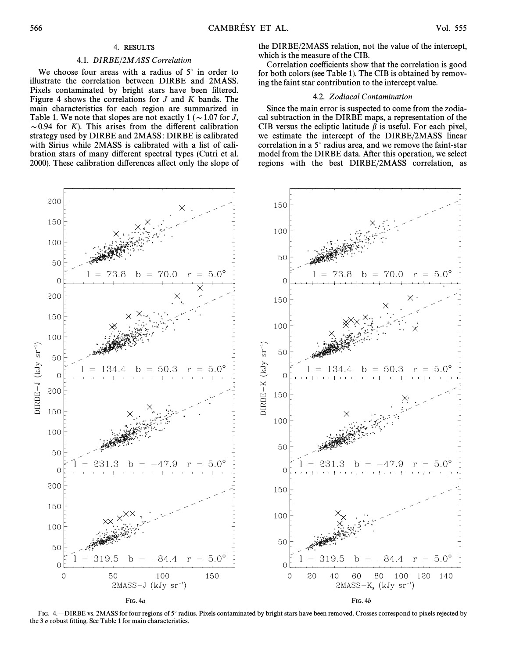# 4. RESULTS

# 4.1. DIRBE/2MASS Correlation

We choose four areas with a radius of  $5^\circ$  in order to illustrate the correlation between DIRBE and 2MASS. Pixels contaminated by bright stars have been filtered. Figure 4 shows the correlations for  $J$  and  $K$  bands. The main characteristics for each region are summarized in Table 1. We note that slopes are not exactly  $1 (\sim 1.07$  for J,  $\sim$  0.94 for K). This arises from the different calibration strategy used by DIRBE and 2MASS : DIRBE is calibrated with Sirius while 2MASS is calibrated with a list of calibration stars of many different spectral types (Cutri et al. 2000). These calibration differences affect only the slope of the DIRBE/2MASS relation, not the value of the intercept, which is the measure of the CIB.

Correlation coefficients show that the correlation is good for both colors (see Table 1). The CIB is obtained by removing the faint star contribution to the intercept value.

# 4.2. Zodiacal Contamination

Since the main error is suspected to come from the zodiacal subtraction in the DIRBE maps, a representation of the CIB versus the ecliptic latitude  $\beta$  is useful. For each pixel, we estimate the intercept of the DIRBE/2MASS linear correlation in a  $5^\circ$  radius area, and we remove the faint-star model from the DIRBE data. After this operation, we select regions with the best DIRBE/2MASS correlation, as



FIG. 4. DIRBE vs. 2MASS for four regions of 5° radius. Pixels contaminated by bright stars have been removed. Crosses correspond to pixels rejected by the 3  $\sigma$  robust fitting. See Table 1 for main characteristics.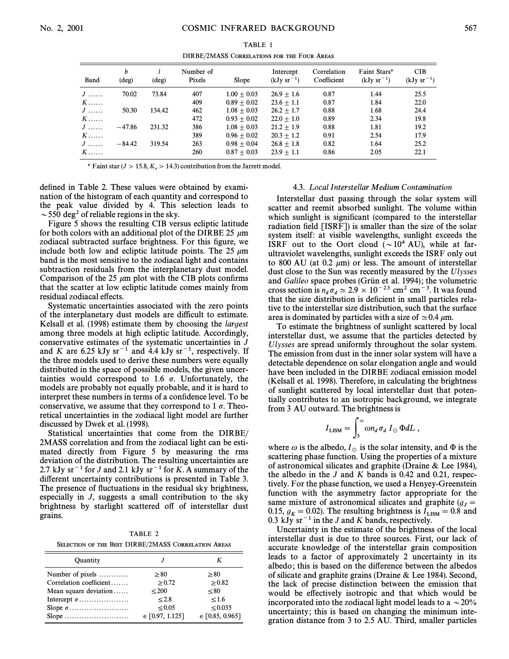TABLE 1 DIRBE/2MASS CORRELATIONS FOR THE FOUR AREAS

| Band | b<br>$(\text{deg})$ | $(\text{deg})$ | Number of<br>Pixels | Slope         | Intercept<br>$(kJy sr-1)$ | Correlation<br>Coefficient | Faint Stars <sup>a</sup><br>$(kJy sr^{-1})$ | <b>CIB</b><br>$(kJy sr-1)$ |
|------|---------------------|----------------|---------------------|---------------|---------------------------|----------------------------|---------------------------------------------|----------------------------|
| $J$  | 70.02               | 73.84          | 407                 | $1.00 + 0.03$ | $26.9 + 1.6$              | 0.87                       | 1.44                                        | 25.5                       |
| $K$  |                     |                | 409                 | $0.89 + 0.02$ | $23.6 + 1.1$              | 0.87                       | 1.84                                        | 22.0                       |
| $J$  | 50.30               | 134.42         | 462                 | $1.08 + 0.03$ | $26.2 + 1.7$              | 0.88                       | 1.68                                        | 24.4                       |
| $K$  |                     |                | 472                 | $0.93 + 0.02$ | $22.0 + 1.0$              | 0.89                       | 2.34                                        | 19.8                       |
| $J$  | $-47.86$            | 231.32         | 386                 | $1.08 + 0.03$ | $21.2 + 1.9$              | 0.88                       | 1.81                                        | 19.2                       |
| $K$  |                     |                | 389                 | $0.96 + 0.02$ | $20.3 + 1.2$              | 0.91                       | 2.54                                        | 17.9                       |
| $J$  | $-84.42$            | 319.54         | 263                 | $0.98 + 0.04$ | $26.8 + 1.8$              | 0.82                       | 1.64                                        | 25.2                       |
| $K$  |                     |                | 260                 | $0.87 + 0.03$ | $23.9 + 1.1$              | 0.86                       | 2.05                                        | 22.1                       |

<sup>a</sup> Faint star ( $J > 15.8, K_s > 14.3$ ) contribution from the Jarrett model.

defined in Table 2. These values were obtained by examination of the histogram of each quantity and correspond to the peak value divided by 4. This selection leads to  $\sim$  550 deg<sup>2</sup> of reliable regions in the sky.

Figure 5 shows the resulting CIB versus ecliptic latitude for both colors with an additional plot of the DIRBE 25  $\mu$ m zodiacal subtracted surface brightness. For this figure, we include both low and ecliptic latitude points. The 25  $\mu$ m band is the most sensitive to the zodiacal light and contains subtraction residuals from the interplanetary dust model. Comparison of the 25  $\mu$ m plot with the CIB plots confirms that the scatter at low ecliptic latitude comes mainly from residual zodiacal effects.

Systematic uncertainties associated with the zero points of the interplanetary dust models are difficult to estimate. Kelsall et al. (1998) estimate them by choosing the largest among three models at high ecliptic latitude. Accordingly, conservative estimates of the systematic uncertainties in J and K are 6.25 kJy sr<sup>-1</sup> and 4.4 kJy sr<sup>-1</sup>, respectively. If the three models used to derive these numbers were equally distributed in the space of possible models, the given uncertainties would correspond to 1.6  $\sigma$ . Unfortunately, the models are probably not equally probable, and it is hard to interpret these numbers in terms of a confidence level. To be conservative, we assume that they correspond to 1  $\sigma$ . Theoretical uncertainties in the zodiacal light model are further discussed by Dwek et al. (1998).

Statistical uncertainties that come from the DIRBE/ 2MASS correlation and from the zodiacal light can be estimated directly from Figure 5 by measuring the rms deviation of the distribution. The resulting uncertainties are 2.7 kJy sr<sup> $-1$ </sup> for J and 2.1 kJy sr $^{-1}$  for K. A summary of the different uncertainty contributions is presented in Table 3. The presence of fluctuations in the residual sky brightness, especially in J, suggests a small contribution to the sky brightness by starlight scattered off of interstellar dust grains.

TABLE 2 SELECTION OF THE BEST DIRBE/2MASS CORRELATION AREAS

| Quantity                                |                     |                     |
|-----------------------------------------|---------------------|---------------------|
| Number of pixels $\dots\dots\dots\dots$ | > 80                | > 80                |
| Correlation coefficient                 | > 0.72              | > 0.82              |
| Mean square deviation                   | < 200               | < 80                |
| Intercept $\sigma$                      | < 2.8               | < 1.6               |
|                                         | $\leq 0.05$         | < 0.035             |
|                                         | $\in$ [0.97, 1.125] | $\in$ [0.85, 0.965] |

### 4.3. Local Interstellar Medium Contamination

Interstellar dust passing through the solar system will scatter and reemit absorbed sunlight. The volume within which sunlight is significant (compared to the interstellar radiation field  $[ISRF]$  is smaller than the size of the solar system itself: at visible wavelengths, sunlight exceeds the ISRF out to the Oort cloud  $({\sim}10^4 \text{ AU})$ , while at farultraviolet wavelengths, sunlight exceeds the ISRF only out to 800 AU (at 0.2  $\mu$ m) or less. The amount of interstellar dust close to the Sun was recently measured by the Ulysses and Galileo space probes (Grün et al. 1994); the volumetric cross section is  $n_d \sigma_d \simeq 2.9 \times 10^{-23}$  cm<sup>2</sup> cm<sup>-3</sup>. It was found that the size distribution is deficient in small particles relative to the interstellar size distribution, such that the surface area is dominated by particles with a size of  $\simeq$  0.4  $\mu$ m.

To estimate the brightness of sunlight scattered by local interstellar dust, we assume that the particles detected by Ulysses are spread uniformly throughout the solar system. The emission from dust in the inner solar system will have a detectable dependence on solar elongation angle and would have been included in the DIRBE zodiacal emission model (Kelsall et al. 1998). Therefore, in calculating the brightness of sunlight scattered by local interstellar dust that potentially contributes to an isotropic background, we integrate

from 3 AU outward. The brightness is  
\n
$$
I_{\text{LISM}} = \int_3^\infty \omega n_d \,\sigma_d \, I_\odot \, \Phi dL \,,
$$

where  $\omega$  is the albedo,  $I_{\odot}$  is the solar intensity, and  $\Phi$  is the scattering phase function. Using the properties of a mixture of astronomical silicates and graphite (Draine & Lee 1984), the albedo in the  $J$  and  $K$  bands is 0.42 and 0.21, respectively. For the phase function, we used a Henyey-Greenstein function with the asymmetry factor appropriate for the same mixture of astronomical silicates and graphite ( $g<sub>J</sub>$  =  $0.15$ ,  $g_K = 0.02$ ). The resulting brightness is  $I_{\text{LISM}} = 0.8$  and<br>0.3 kJ<sub>N</sub>  $\text{sr}^{-1}$  in the *L* and *K* hands respectively 0.3 kJy sr<sup> $-1$ </sup> in the J and K bands, respectively.

Uncertainty in the estimate of the brightness of the local interstellar dust is due to three sources. First, our lack of accurate knowledge of the interstellar grain composition leads to a factor of approximately 2 uncertainty in its albedo; this is based on the difference between the albedos of silicate and graphite grains (Draine & Lee 1984). Second, the lack of precise distinction between the emission that would be effectively isotropic and that which would be incorporated into the zodiacal light model leads to a  $\sim$  20% uncertainty; this is based on changing the minimum integration distance from 3 to 2.5 AU. Third, smaller particles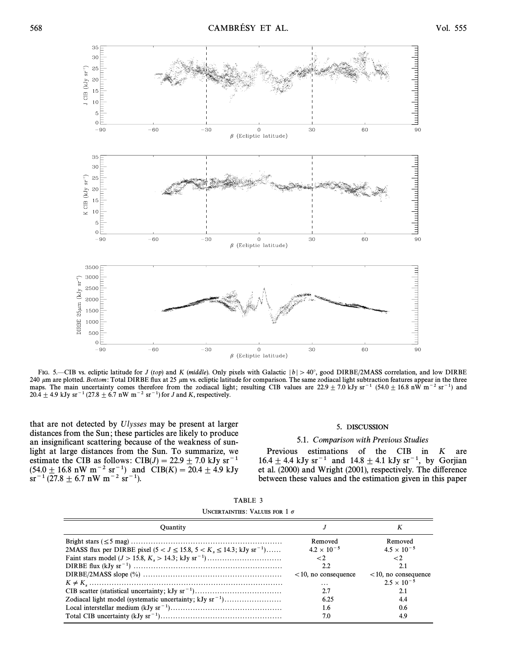

FIG. 5.—CIB vs. ecliptic latitude for J (top) and K (middle). Only pixels with Galactic  $|b| > 40^\circ$ , good DIRBE/2MASS correlation, and low DIRBE 240  $\mu$ m are plotted. Bottom: Total DIRBE flux at 25  $\mu$ m vs. ecliptic latitude for comparison. The same zodiacal light subtraction features appear in the three maps. The main uncertainty comes therefore from the zodiacal light; resulting CIB values are  $22.9 \pm 7.0$  kJy sr<sup>-1</sup> (54.0 $\pm$  16.8 nW m<sup>-2</sup> sr<sup>-1</sup>) and 20.4  $\pm$  4.9 kJy sr<sup>-1</sup> (27.8  $\pm$  6.7 nW m<sup>-2</sup> sr<sup>-1</sup>) for J and K, respectively.

that are not detected by Ulysses may be present at larger distances from the Sun; these particles are likely to produce an insignificant scattering because of the weakness of sunlight at large distances from the Sun. To summarize, we estimate the CIB as follows: CIB(J) = 22.9  $\pm$  7.0 kJy sr<sup>-1</sup>  $(54.0 \pm 16.8 \text{ nW m}^{-2} \text{ sr}^{-1})$  and  $CIB(K) = 20.4 \pm 4.9 \text{ kJy}$  $sr^{-1}$  (27.8  $\pm$  6.7 nW m<sup>-2</sup> sr<sup>-1</sup>).

# 5. DISCUSSION

### 5.1. Comparison with Previous Studies

Previous estimations of the CIB in K are 16.4  $\pm$  4.4 kJy sr<sup>-1</sup> and 14.8  $\pm$  4.1 kJy sr<sup>-1</sup>, by Gorjian et al. (2000) and Wright (2001), respectively. The difference between these values and the estimation given in this paper

| TABLE 3                              |  |
|--------------------------------------|--|
| UNCERTAINTIES: VALUES FOR 1 $\sigma$ |  |

| <b>Ouantity</b>                                                                             |                                                   | K                                                  |
|---------------------------------------------------------------------------------------------|---------------------------------------------------|----------------------------------------------------|
| 2MASS flux per DIRBE pixel ( $5 < J \le 15.8$ , $5 < K_s \le 14.3$ ; kJy sr <sup>-1</sup> ) | Removed<br>$4.2 \times 10^{-5}$<br>$\lt 2$<br>2.2 | Removed<br>$4.5 \times 10^{-5}$<br>$\lt$ 2.<br>2.1 |
|                                                                                             | $< 10$ , no consequence<br>.                      | $<$ 10, no consequence<br>$2.5 \times 10^{-5}$     |
|                                                                                             | 6.25<br>1.6<br>7.0                                | 2.1<br>4.4<br>0.6<br>4.9                           |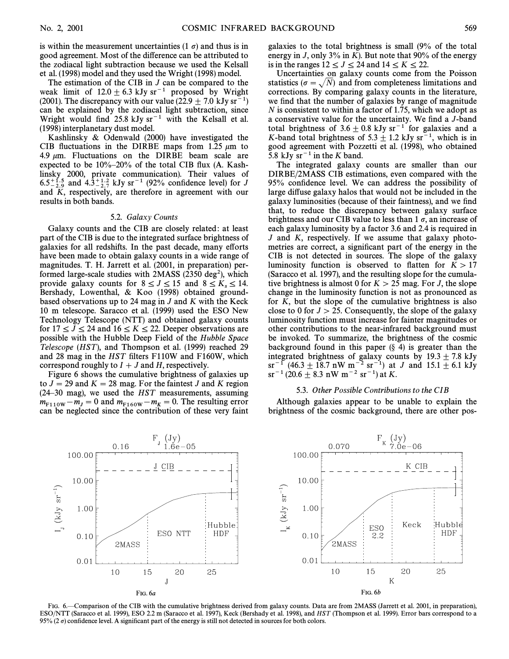is within the measurement uncertainties (1  $\sigma$ ) and thus is in good agreement. Most of the difference can be attributed to the zodiacal light subtraction because we used the Kelsall et al. (1998) model and they used the Wright (1998) model.

The estimation of the CIB in  $J$  can be compared to the weak limit of  $12.0 \pm 6.3$  kJy sr<sup>-1</sup> proposed by Wright (2001). The discrepancy with our value (22.9  $\pm$  7.0 kJy sr<sup>-1</sup>) can be explained by the zodiacal light subtraction, since Wright would find  $25.8 \text{ kJy sr}^{-1}$  with the Kelsall et al. (1998) interplanetary dust model.

Kashlinsky & Odenwald (2000) have investigated the CIB fluctuations in the DIRBE maps from 1.25  $\mu$ m to 4.9  $\mu$ m. Fluctuations on the DIRBE beam scale are expected to be  $10\% - 20\%$  of the total CIB flux (A. Kashlinsky 2000, private communication). Their values of 6.5 $^{+1.5}_{-2.9}$  and 4.3<sup> $+1.2}_{-2.7}$ </sup> kJy sr<sup>-1</sup> (92% confidence level) for J and K, respectively, are therefore in agreement with our results in both bands.

#### 5.2. Galaxy Counts

Galaxy counts and the CIB are closely related : at least part of the CIB is due to the integrated surface brightness of galaxies for all redshifts. In the past decade, many efforts have been made to obtain galaxy counts in a wide range of magnitudes. T. H. Jarrett et al. (2001, in preparation) performed large-scale studies with  $2MASS$  (2350 deg<sup>2</sup>), which provide galaxy counts for  $8 \leq J \leq 15$  and  $8 \leq K_s \leq 14$ .<br>Bershady Lowenthal & K.00 (1998) obtained ground-Bershady, Lowenthal, & Koo (1998) obtained groundbased observations up to 24 mag in  $J$  and  $K$  with the Keck 10 m telescope. Saracco et al. (1999) used the ESO New Technology Telescope (NTT) and obtained galaxy counts for  $17 \le J \le 24$  and  $16 \le K \le 22$ . Deeper observations are possible with the Hubble Deep Field of the Hubble Space Telescope (HST), and Thompson et al. (1999) reached 29 and 28 mag in the HST filters F110W and F160W, which correspond roughly to  $I + J$  and H, respectively.

Figure 6 shows the cumulative brightness of galaxies up to  $J = 29$  and  $K = 28$  mag. For the faintest J and K region  $(24–30$  mag), we used the HST measurements, assuming  $m_{F110W} - m_J = 0$  and  $m_{F160W} - m_K = 0$ . The resulting error<br>can be neglected since the contribution of these very faint can be neglected since the contribution of these very faint

galaxies to the total brightness is small (9% of the total energy in J, only 3% in K). But note that 90% of the energy is in the ranges  $12 \le J \le 24$  and  $14 \le K \le 22$ .

Uncertainties on galaxy counts come from the Poisson statistics ( $\sigma = \sqrt{N}$ ) and from completeness limitations and corrections. By comparing galaxy counts in the literature, we find that the number of galaxies by range of magnitude N is consistent to within a factor of 1.75, which we adopt as a conservative value for the uncertainty. We find a J-band total brightness of 3.6  $\pm$  0.8 kJy sr<sup>-1</sup> for galaxies and a K-band total brightness of  $5.3 \pm 1.2$  kJy sr<sup> $-1$ </sup>, which is in good agreement with Pozzetti et al. (1998), who obtained 5.8 kJy  $sr^{-1}$  in the K band.

The integrated galaxy counts are smaller than our DIRBE/2MASS CIB estimations, even compared with the 95% confidence level. We can address the possibility of large diffuse galaxy halos that would not be included in the galaxy luminosities (because of their faintness), and we find that, to reduce the discrepancy between galaxy surface brightness and our CIB value to less than 1  $\sigma$ , an increase of each galaxy luminosity by a factor 3.6 and 2.4 is required in  $J$  and  $K$ , respectively. If we assume that galaxy photometries are correct, a significant part of the energy in the CIB is not detected in sources. The slope of the galaxy luminosity function is observed to flatten for  $K > 17$ (Saracco et al. 1997), and the resulting slope for the cumulative brightness is almost 0 for  $K > 25$  mag. For J, the slope change in the luminosity function is not as pronounced as for K, but the slope of the cumulative brightness is also close to 0 for  $J > 25$ . Consequently, the slope of the galaxy luminosity function must increase for fainter magnitudes or other contributions to the near-infrared background must be invoked. To summarize, the brightness of the cosmic background found in this paper  $(\S 4)$  is greater than the integrated brightness of galaxy counts by  $19.3 \pm 7.8$  kJy  $sr^{-1}$  (46.3  $\pm$  18.7 nW m<sup>-2</sup> sr<sup>-1</sup>) at J and 15.1  $\pm$  6.1 kJy  $sr^{-1}$  (20.6  $\pm$  8.3 nW m<sup>-2</sup> sr<sup>-1</sup>) at K.

#### 5.3. Other Possible Contributions to the CIB

Although galaxies appear to be unable to explain the brightness of the cosmic background, there are other pos-



FIG. 6.—Comparison of the CIB with the cumulative brightness derived from galaxy counts. Data are from 2MASS (Jarrett et al. 2001, in preparation), ESO/NTT (Saracco et al. 1999), ESO 2.2 m (Saracco et al. 1997), Keck (Bershady et al. 1998), and HST (Thompson et al. 1999). Error bars correspond to a 95% (2  $\sigma$ ) confidence level. A significant part of the energy is still not detected in sources for both colors.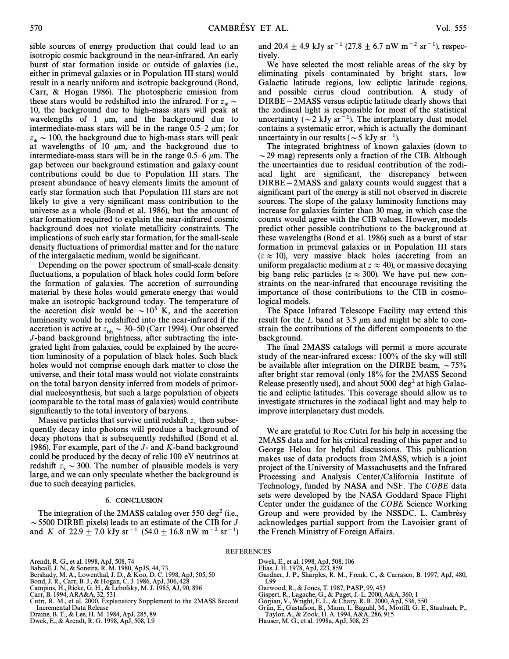sible sources of energy production that could lead to an isotropic cosmic background in the near-infrared. An early burst of star formation inside or outside of galaxies (i.e., either in primeval galaxies or in Population III stars) would result in a nearly uniform and isotropic background (Bond, Carr, & Hogan 1986). The photospheric emission from these stars would be redshifted into the infrared. For  $z_* \sim 10$ , the background due to high mass stars will neek at 10, the background due to high-mass stars will peak at wavelengths of 1  $\mu$ m, and the background due to intermediate-mass stars will be in the range  $0.5-2 \mu m$ ; for  $z_* \sim 100$ , the background due to high-mass stars will peak at wavelengths of 10  $\mu$ m, and the background due to intermediate-mass stars will be in the range 0.5–6  $\mu$ m. The gap between our background estimation and galaxy count contributions could be due to Population III stars. The present abundance of heavy elements limits the amount of early star formation such that Population III stars are not likely to give a very significant mass contribution to the universe as a whole (Bond et al. 1986), but the amount of star formation required to explain the near-infrared cosmic background does not violate metallicity constraints. The implications of such early star formation, for the small-scale density fluctuations of primordial matter and for the nature of the intergalactic medium, would be significant.

Depending on the power spectrum of small-scale density fluctuations, a population of black holes could form before the formation of galaxies. The accretion of surrounding material by these holes would generate energy that would make an isotropic background today. The temperature of the accretion disk would be  $\sim 10^5$  K, and the accretion luminosity would be redshifted into the near-infrared if the accretion is active at  $z_{bh} \sim 30{\text -}50$  (Carr 1994). Our observed<br>L-band background brightness, after subtracting the inte-J-band background brightness, after subtracting the integrated light from galaxies, could be explained by the accretion luminosity of a population of black holes. Such black holes would not comprise enough dark matter to close the universe, and their total mass would not violate constraints on the total baryon density inferred from models of primordial nucleosynthesis, but such a large population of objects (comparable to the total mass of galaxies) would contribute significantly to the total inventory of baryons.

Massive particles that survive until redshift  $z<sub>v</sub>$  then subsequently decay into photons will produce a background of decay photons that is subsequently redshifted (Bond et al. 1986). For example, part of the J- and K-band background could be produced by the decay of relic 100 eV neutrinos at redshift  $z_v \sim 300$ . The number of plausible models is very large, and we can only speculate whether the background is due to such decaying particles.

#### 6. CONCLUSION

The integration of the 2MASS catalog over 550 deg<sup>2</sup> (i.e.,  $\sim$  5500 DIRBE pixels) leads to an estimate of the CIB for J and K of 22.9  $\pm$  7.0 kJy sr<sup>-1</sup> (54.0  $\pm$  16.8 nW m<sup>-2</sup> sr<sup>-1</sup>)

and 20.4  $\pm$  4.9 kJy sr<sup>-1</sup> (27.8  $\pm$  6.7 nW m<sup>-2</sup> sr<sup>-1</sup>), respectively.

We have selected the most reliable areas of the sky by eliminating pixels contaminated by bright stars, low Galactic latitude regions, low ecliptic latitude regions, and possible cirrus cloud contribution. A study of  $DIRBE-2MASS$  versus ecliptic latitude clearly shows that the zodiacal light is responsible for most of the statistical uncertainty ( $\sim 2$  kJy sr<sup>-1</sup>). The interplanetary dust model contains a systematic error, which is actually the dominant uncertainty in our results ( $\sim$  5 kJy sr<sup>-1</sup>).

The integrated brightness of known galaxies (down to  $\sim$  29 mag) represents only a fraction of the CIB. Although the uncertainties due to residual contribution of the zodiacal light are significant, the discrepancy between  $DIRBE-2MASS$  and galaxy counts would suggest that a significant part of the energy is still not observed in discrete sources. The slope of the galaxy luminosity functions may increase for galaxies fainter than 30 mag, in which case the counts would agree with the CIB values. However, models predict other possible contributions to the background at these wavelengths (Bond et al. 1986) such as a burst of star formation in primeval galaxies or in Population III stars  $(z \approx 10)$ , very massive black holes (accreting from an uniform pregalactic medium at  $z \approx 40$ ), or massive decaying big bang relic particles ( $z \approx 300$ ). We have put new constraints on the near-infrared that encourage revisiting the importance of those contributions to the CIB in cosmological models.

The Space Infrared Telescope Facility may extend this result for the L band at 3.5  $\mu$ m and might be able to constrain the contributions of the different components to the background.

The final 2MASS catalogs will permit a more accurate study of the near-infrared excess : 100% of the sky will still be available after integration on the DIRBE beam,  $\sim 75\%$ after bright star removal (only 18% for the 2MASS Second Release presently used), and about  $5000 \text{ deg}^2$  at high Galactic and ecliptic latitudes. This coverage should allow us to investigate structures in the zodiacal light and may help to improve interplanetary dust models.

We are grateful to Roc Cutri for his help in accessing the 2MASS data and for his critical reading of this paper and to George Helou for helpful discussions. This publication makes use of data products from 2MASS, which is a joint project of the University of Massachusetts and the Infrared Processing and Analysis Center/California Institute of Technology, funded by NASA and NSF. The COBE data sets were developed by the NASA Goddard Space Flight Center under the guidance of the COBE Science Working Group and were provided by the NSSDC. L. Cambrésy acknowledges partial support from the Lavoisier grant of the French Ministry of Foreign Affairs.

- Arendt, R. G., et al. 1998, ApJ, 508, 74
- Bahcall, J. N., & Soneira, R. M. 1980, ApJS, 44, 73
- Bershady, M. A., Lowenthal, J. D., & Koo, D. C. 1998, ApJ, 505, 50 Bond, J. R., Carr, B. J., & Hogan, C. J. 1986, ApJ, 306, 428 Campins, H., Rieke, G. H., & Lebofsky, M. J. 1985, AJ, 90, 896 Carr, B. 1994, ARA&A, 32, 531
- 
- 
- 
- Cutri, R. M., et al. 2000, Explanatory Supplement to the 2MASS Second Incremental Data Release
- Draine, B. T., & Lee, H. M. 1984, ApJ, 285, 89
- Dwek, E., & Arendt, R. G. 1998, ApJ, 508, L9
- - Dwek, E., et al. 1998, ApJ, 508, 106
	- Elias, J. H. 1978, ApJ, 223, 859
	- Gardner, J. P., Sharples, R. M., Frenk, C., & Carrasco, B. 1997, ApJ, 480, L99
	- Garwood, R., & Jones, T. 1987, PASP, 99, 453
	- Gispert, R., Lagache, G., & Puget, J.-L. 2000, A&A, 360, 1 Gorjian, V., Wright, E. L., & Chary, R. R. 2000, ApJ, 536, 550
	-
	- Grün, E., Gustafson, B., Mann, I., Baguhl, M., Morfill, G. E., Staubach, P.,<br>Taylor, A., & Zook, H. A. 1994, A&A, 286, 915
	- Hauser, M. G., et al. 1998a, ApJ, 508, 25